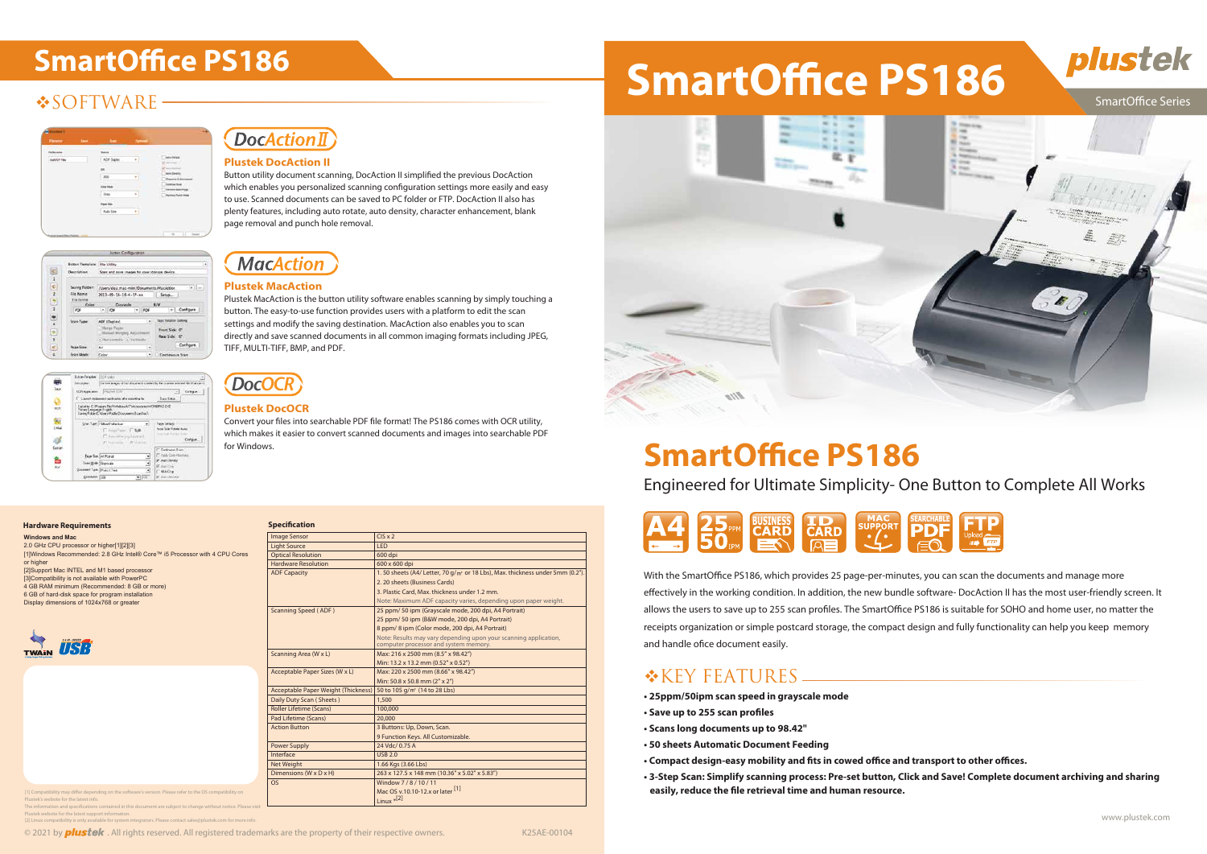## **❖SOFTWARE-**

|                       |          | <b>TYPE AT A</b>              |
|-----------------------|----------|-------------------------------|
| ADE<br><b>Flughes</b> |          | estor Ratura                  |
|                       |          |                               |
|                       | ٠<br>. . |                               |
|                       |          |                               |
|                       | ×        | <b>Public McPublic Arrest</b> |
|                       |          |                               |
| 1414-151              | è<br>m   |                               |
|                       |          |                               |

| Button Template: 1982 Utility    |                                               |                             |  |  |
|----------------------------------|-----------------------------------------------|-----------------------------|--|--|
| Description:<br>and hardward and | Scali and save images to your storage device. |                             |  |  |
| Saving Folder:                   | /Users/dea_mac-mini/Documents/MacAdbon        | $-4$ $-$                    |  |  |
| File Name:                       | 2013-00-18-16-4-17-wa                         | - Setup                     |  |  |
| Fla.Forr<br>Color:               | Drawingle                                     | <b>B/W</b>                  |  |  |
|                                  | lm.<br>×                                      | .- L. Canfigure             |  |  |
| <b>Sean Tune</b>                 | ADF (Dapieu)                                  | <b>WAS HARASHIP SATURAL</b> |  |  |
|                                  | <b>Harger Payae</b>                           | Front Side: 07              |  |  |
|                                  | Manual Minging Ad<br><b>Researchy (1993)</b>  | Rear Side: 0"               |  |  |
| <b>Page Size:</b>                | A4                                            | Configure<br>٠              |  |  |
|                                  |                                               |                             |  |  |



### **DocActionII**

Engineered for Ultimate Simplicity- One Button to Complete All Works



With the SmartOffice PS186, which provides 25 page-per-minutes, you can scan the documents and manage more effectively in the working condition. In addition, the new bundle software- DocAction II has the most user-friendly screen. It allows the users to save up to 255 scan profiles. The SmartOffice PS186 is suitable for SOHO and home user, no matter the receipts organization or simple postcard storage, the compact design and fully functionality can help you keep memory and handle ofice document easily.

### **\*KEY FEATURES**

- **25ppm/50ipm scan speed in grayscale mode**
- **Save up to 255 scan profiles**
- **Scans long documents up to 98.42"**
- **50 sheets Automatic Document Feeding**
- Compact design-easy mobility and fits in cowed office and transport to other offices.
- **3-Step Scan: Simplify scanning process: Pre-set button, Click and Save! Complete document archiving and sharing**  easily, reduce the file retrieval time and human resource.





#### **SmartOffice Series**

Convert your files into searchable PDF file format! The PS186 comes with OCR utility, which makes it easier to convert scanned documents and images into searchable PDF for Windows.

Button utility document scanning, DocAction II simplified the previous DocAction which enables you personalized scanning configuration settings more easily and easy to use. Scanned documents can be saved to PC folder or FTP. DocAction II also has plenty features, including auto rotate, auto density, character enhancement, blank page removal and punch hole removal.



#### **Plustek MacAction**

Plustek MacAction is the button utility software enables scanning by simply touching a button. The easy-to-use function provides users with a platform to edit the scan settings and modify the saving destination. MacAction also enables you to scan directly and save scanned documents in all common imaging formats including JPEG, TIFF, MULTI-TIFF, BMP, and PDF.

#### **Plustek DocOCR**

#### **Plustek DocAction II**



| <b>Specification</b>                       |                                                                                           |  |
|--------------------------------------------|-------------------------------------------------------------------------------------------|--|
| <b>Image Sensor</b>                        | $CIS \times 2$                                                                            |  |
| <b>Light Source</b>                        | <b>LED</b>                                                                                |  |
| <b>Optical Resolution</b>                  | 600 dpi                                                                                   |  |
| <b>Hardware Resolution</b>                 | 600 x 600 dpi                                                                             |  |
| <b>ADF Capacity</b>                        | 1.50 sheets (A4/ Letter, 70 g/m <sup>2</sup> or 18 Lbs), Max. thickness under 5mm (0.2"). |  |
|                                            | 2.20 sheets (Business Cards)                                                              |  |
|                                            | 3. Plastic Card, Max. thickness under 1.2 mm.                                             |  |
|                                            | Note: Maximum ADF capacity varies, depending upon paper weight.                           |  |
| Scanning Speed (ADF)                       | 25 ppm/ 50 ipm (Grayscale mode, 200 dpi, A4 Portrait)                                     |  |
|                                            | 25 ppm/ 50 ipm (B&W mode, 200 dpi, A4 Portrait)                                           |  |
|                                            | 8 ppm/8 ipm (Color mode, 200 dpi, A4 Portrait)                                            |  |
|                                            | Note: Results may vary depending upon your scanning application,                          |  |
|                                            | computer processor and system memory.                                                     |  |
| Scanning Area (W x L)                      | Max: 216 x 2500 mm (8.5" x 98.42")                                                        |  |
|                                            | Min: 13.2 x 13.2 mm (0.52" x 0.52")                                                       |  |
| Acceptable Paper Sizes (W x L)             | Max: 220 x 2500 mm (8.66" x 98.42")                                                       |  |
|                                            | Min: 50.8 x 50.8 mm (2" x 2")                                                             |  |
| <b>Acceptable Paper Weight (Thickness)</b> | 50 to 105 g/m <sup>2</sup> (14 to 28 Lbs)                                                 |  |
| Daily Duty Scan (Sheets)                   | 1,500                                                                                     |  |
| <b>Roller Lifetime (Scans)</b>             | 100.000                                                                                   |  |
| Pad Lifetime (Scans)                       | 20,000                                                                                    |  |
| <b>Action Button</b>                       | 3 Buttons: Up, Down, Scan.                                                                |  |
|                                            | 9 Function Keys. All Customizable.                                                        |  |
| <b>Power Supply</b>                        | 24 Vdc/ 0.75 A                                                                            |  |
| Interface                                  | <b>USB 2.0</b>                                                                            |  |
| Net Weight                                 | 1.66 Kgs (3.66 Lbs)                                                                       |  |
| Dimensions (W x D x H)                     | 263 x 127.5 x 148 mm (10.36" x 5.02" x 5.83")                                             |  |
| <b>OS</b>                                  | Window 7/8/10/11                                                                          |  |
|                                            | Mac OS v.10.10-12.x or later [1]                                                          |  |
|                                            | Linux $*$ <sup>[2]</sup>                                                                  |  |

[1] Compatibility may differ depending on the software's version. Please refer to the OS compatibility on Plustek's website for the latest info. The information and specifications contained in this document are subject to change without notice. Please visit

#### **Hardware Requirements**

Plustek website for the latest support information.

ity is only available for system integrators. Please contact sales@plustek.com for

© 2021 by **plustek**. All rights reserved. All registered trademarks are the property of their respective owners. K25AE-00104

# SmartOffice PS186 **SmartOffice PS186**



## **SmartOffice PS186**

**Windows and Mac** 2.0 GHz CPU processor or higher[1][2][3] [1]Windows Recommended: 2.8 GHz Intel® Core™ i5 Processor with 4 CPU Cores or higher

[2]Support Mac INTEL and M1 based processor [3]Compatibility is not available with PowerPC 4 GB RAM minimum (Recommended: 8 GB or more)

6 GB of hard-disk space for program installation Display dimensions of 1024x768 or greater